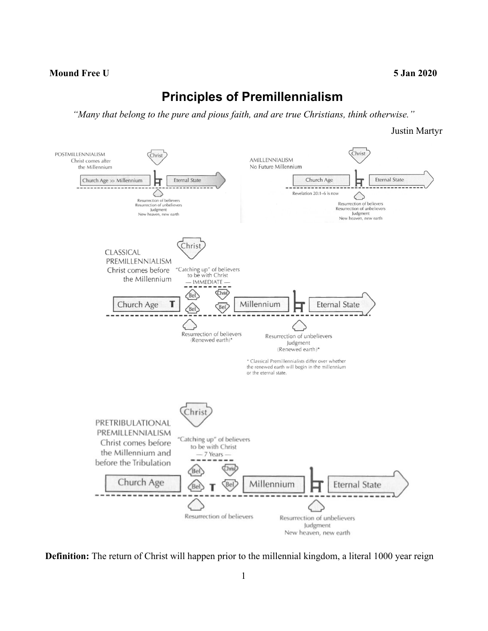## **Mound Free U 5 Jan 2020**

## **Principles of Premillennialism**

*"Many that belong to the pure and pious faith, and are true Christians, think otherwise."*

Justin Martyr



**Definition:** The return of Christ will happen prior to the millennial kingdom, a literal 1000 year reign